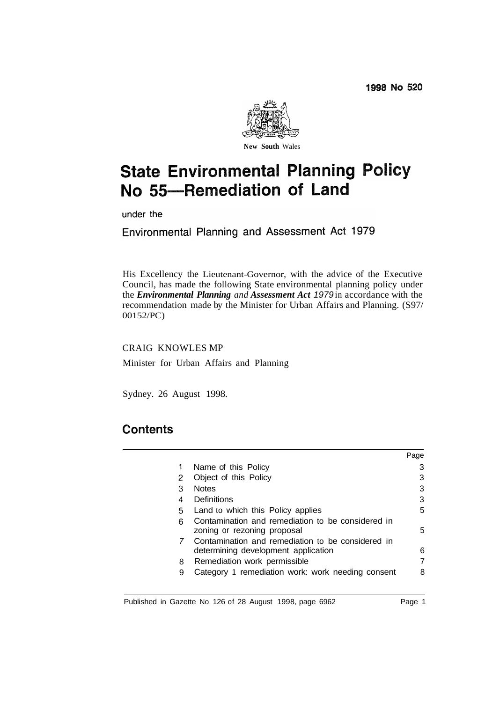

# **State Environmental Planning Policy** No 55-Remediation of Land

under the

Environmental Planning and Assessment Act 1979

His Excellency the Lieutenant-Governor, with the advice of the Executive Council, has made the following State environmental planning policy under the *Environmental Planning and Assessment Act 1979* in accordance with the recommendation made by the Minister for Urban Affairs and Planning. (S97/ 00152/PC)

CRAIG KNOWLES MP

Minister for Urban Affairs and Planning

Sydney. 26 August 1998.

# **Contents**

|     |                                                                                          | Page |
|-----|------------------------------------------------------------------------------------------|------|
| 1   | Name of this Policy                                                                      |      |
| 2   | Object of this Policy                                                                    |      |
| З   | <b>Notes</b>                                                                             | З    |
| 4   | Definitions                                                                              | 3    |
| 5   | Land to which this Policy applies                                                        | 5    |
| ี่ค | Contamination and remediation to be considered in<br>zoning or rezoning proposal         | 5    |
|     | Contamination and remediation to be considered in<br>determining development application | 6    |
| 8   | Remediation work permissible                                                             |      |
| 9   | Category 1 remediation work: work needing consent                                        | 8    |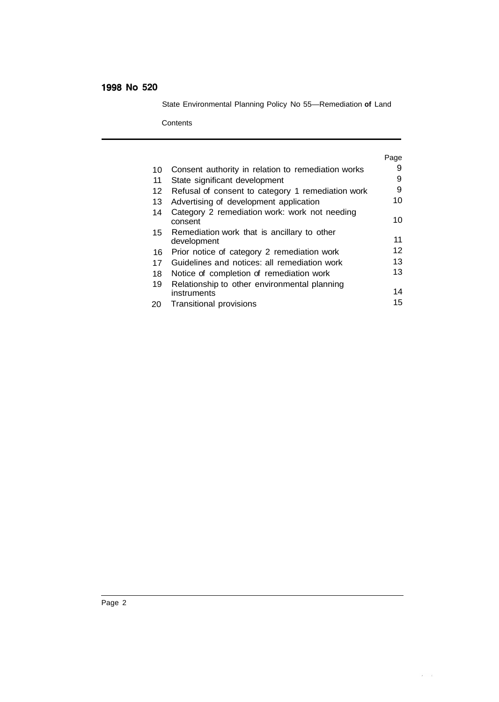State Environmental Planning Policy No 55—Remediation **of** Land

**Contents** 

|    |                                                            | Page |
|----|------------------------------------------------------------|------|
| 10 | Consent authority in relation to remediation works         | 9    |
| 11 | State significant development                              | 9    |
| 12 | Refusal of consent to category 1 remediation work          | 9    |
| 13 | Advertising of development application                     | 10   |
| 14 | Category 2 remediation work: work not needing<br>consent   | 10   |
| 15 | Remediation work that is ancillary to other<br>development | 11   |
| 16 | Prior notice of category 2 remediation work                | 12   |
| 17 | Guidelines and notices: all remediation work               | 13   |
| 18 | Notice of completion of remediation work                   | 13   |
| 19 | Relationship to other environmental planning               |      |
|    | instruments                                                | 14   |
| 20 | Transitional provisions                                    | 15   |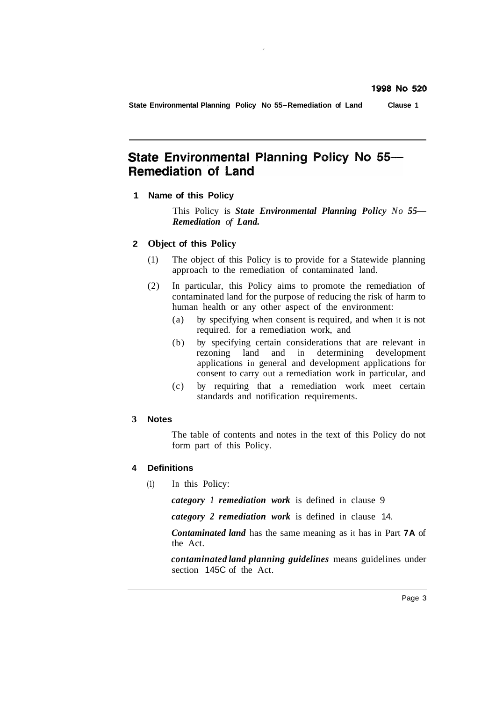**State Environmental Planning Policy No 55-Remediation of Land Clause 1** 

# State Environmental Planning Policy No 55-**Remediation of Land**

**1 Name of this Policy** 

This Policy is *State Environmental Planning Policy No 55— Remediation of Land.* 

#### **2 Object of this Policy**

- (1) The object of this Policy is to provide for a Statewide planning approach to the remediation of contaminated land.
- (2) In particular, this Policy aims to promote the remediation of contaminated land for the purpose of reducing the risk of harm to human health or any other aspect of the environment:
	- (a) by specifying when consent is required, and when it is not required. for a remediation work, and
	- (b) by specifying certain considerations that are relevant in rezoning land and in determining development applications in general and development applications for consent to carry out a remediation work in particular, and
	- (c) by requiring that a remediation work meet certain standards and notification requirements.

#### **3 Notes**

The table of contents and notes in the text of this Policy do not form part of this Policy.

#### **4 Definitions**

(1) In this Policy:

*category 1 remediation work* is defined in clause 9

*category 2 remediation work* is defined in clause 14.

*Contaminated land* has the same meaning as it has in Part **7A** of the Act.

*contaminated land planning guidelines* means guidelines under section 145C of the Act.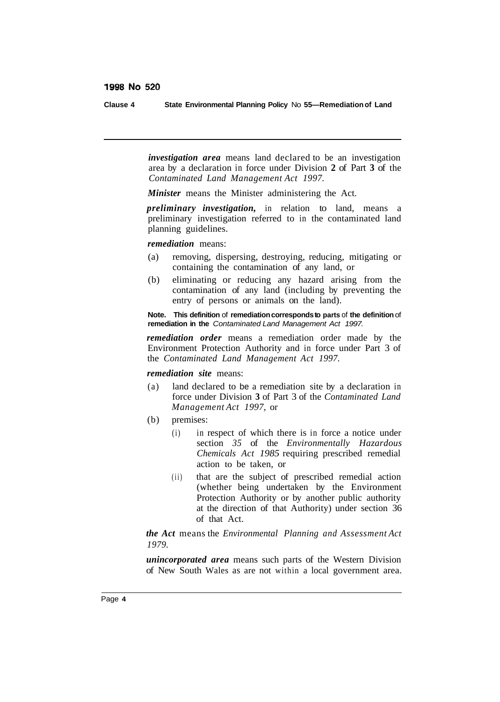**Clause 4 State Environmental Planning Policy** No **55—Remediation of Land** 

*investigation area* means land declared to be an investigation area by a declaration in force under Division **2** of Part **3** of the *Contaminated Land Management Act 1997.* 

*Minister* means the Minister administering the Act.

*preliminary investigation,* in relation to land, means a preliminary investigation referred to in the contaminated land planning guidelines.

*remediation* means:

- (a) removing, dispersing, destroying, reducing, mitigating or containing the contamination of any land, or
- (b) eliminating or reducing any hazard arising from the contamination of any land (including by preventing the entry of persons or animals on the land).

**Note. This definition** of **remediation corresponds to parts** of **the definition** of **remediation in the** *Contaminated Land Management Act 1997.* 

*remediation order* means a remediation order made by the Environment Protection Authority and in force under Part 3 of the *Contaminated Land Management Act 1997.* 

#### *remediation site* means:

- (a) land declared to be a remediation site by a declaration in force under Division **3** of Part 3 of the *Contaminated Land Management Act 1997,* or
- (b) premises:
	- (i) in respect of which there is in force a notice under section *35* of the *Environmentally Hazardous Chemicals Act 1985* requiring prescribed remedial action to be taken, or
	- (ii) that are the subject of prescribed remedial action (whether being undertaken by the Environment Protection Authority or by another public authority at the direction of that Authority) under section 36 of that Act.

*the Act* means the *Environmental Planning and Assessment Act 1979.* 

*unincorporated area* means such parts of the Western Division of New South Wales as are not within a local government area.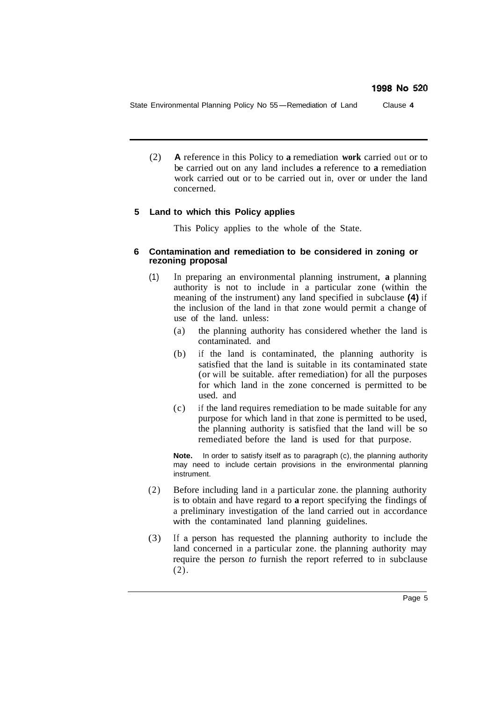State Environmental Planning Policy No 55-Remediation of Land Clause **<sup>4</sup>**

(2) **A** reference in this Policy to **a** remediation **work** carried out or to be carried out on any land includes **a** reference to **a** remediation work carried out or to be carried out in, over or under the land concerned.

### **5 Land to which this Policy applies**

This Policy applies to the whole of the State.

#### **6 Contamination and remediation to be considered in zoning or rezoning proposal**

- (1) In preparing an environmental planning instrument, **a** planning authority is not to include in a particular zone (within the meaning of the instrument) any land specified in subclause **(4)** if the inclusion of the land in that zone would permit a change of use of the land. unless:
	- (a) the planning authority has considered whether the land is contaminated. and
	- (b) if the land is contaminated, the planning authority is satisfied that the land is suitable in its contaminated state (or will be suitable. after remediation) for all the purposes for which land in the zone concerned is permitted to be used. and
	- (c) if the land requires remediation to be made suitable for any purpose for which land in that zone is permitted to be used, the planning authority is satisfied that the land will be so remediated before the land is used for that purpose.

**Note.** In order to satisfy itself as to paragraph (c), the planning authority may need to include certain provisions in the environmental planning instrument.

- (2) Before including land in a particular zone. the planning authority is to obtain and have regard to **a** report specifying the findings of a preliminary investigation of the land carried out in accordance with the contaminated land planning guidelines.
- (3) If a person has requested the planning authority to include the land concerned in a particular zone. the planning authority may require the person *to* furnish the report referred to in subclause (2).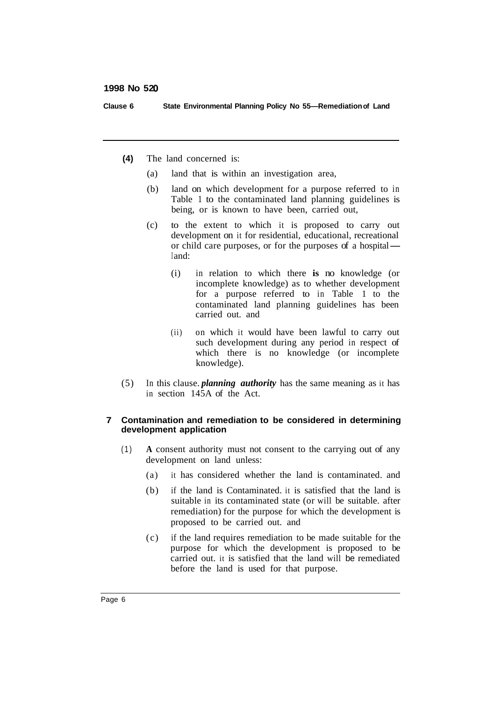**Clause 6 State Environmental Planning Policy No 55—Remediation of Land** 

- **(4)** The land concerned is:
	- (a) land that is within an investigation area,
	- (b) land on which development for a purpose referred to in Table 1 to the contaminated land planning guidelines is being, or is known to have been, carried out,
	- (c) to the extent to which it is proposed to carry out development on it for residential, educational, recreational or child care purposes, or for the purposes of a hospital development on it for residential, educational, recreational I and:
		- (i) in relation to which there **is** no knowledge (or incomplete knowledge) as to whether development for a purpose referred to in Table 1 to the contaminated land planning guidelines has been carried out. and
		- (ii) on which it would have been lawful to carry out such development during any period in respect of which there is no knowledge (or incomplete knowledge).
- (5) In this clause. *planning authority* has the same meaning as it has in section 145A of the Act.

#### **7 Contamination and remediation to be considered in determining development application**

- (1) **A** consent authority must not consent to the carrying out of any development on land unless:
	- (a) it has considered whether the land is contaminated. and
	- (b) if the land is Contaminated. it is satisfied that the land is suitable in its contaminated state (or will be suitable. after remediation) for the purpose for which the development is proposed to be carried out. and
	- (c) if the land requires remediation to be made suitable for the purpose for which the development is proposed to be carried out. it is satisfied that the land will be remediated before the land is used for that purpose.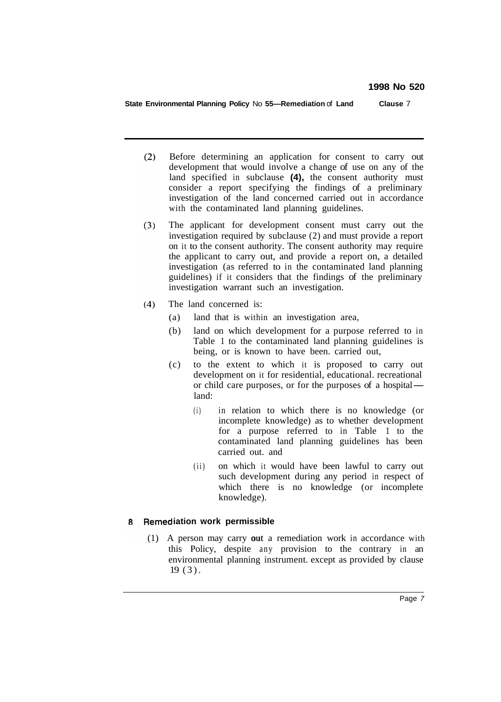**State Environmental Planning Policy** No **55—Remediation** of **Land Clause** 7

- $(2)$ Before determining an application for consent to carry out development that would involve a change of use on any of the land specified in subclause **(4),** the consent authority must consider a report specifying the findings of a preliminary investigation of the land concerned carried out in accordance with the contaminated land planning guidelines.
- $(3)$ The applicant for development consent must carry out the investigation required by subclause (2) and must provide a report on it to the consent authority. The consent authority may require the applicant to carry out, and provide a report on, a detailed investigation (as referred to in the contaminated land planning guidelines) if it considers that the findings of the preliminary investigation warrant such an investigation.
- $(4)$ The land concerned is:
	- (a) land that is within an investigation area,
	- (b) land on which development for a purpose referred to in Table 1 to the contaminated land planning guidelines is being, or is known to have been. carried out,
	- (c) to the extent to which it is proposed to carry out development on it for residential, educational. recreational or child care purposes, or for the purposes of a hospital land:
		- (i) in relation to which there is no knowledge (or incomplete knowledge) as to whether development for a purpose referred to in Table 1 to the contaminated land planning guidelines has been carried out. and
		- (ii) on which it would have been lawful to carry out such development during any period in respect of which there is no knowledge (or incomplete knowledge).

#### **8** Remediation work permissible

 $(1)$  A person may carry out a remediation work in accordance with this Policy, despite any provision to the contrary in an environmental planning instrument. except as provided by clause 19 (3).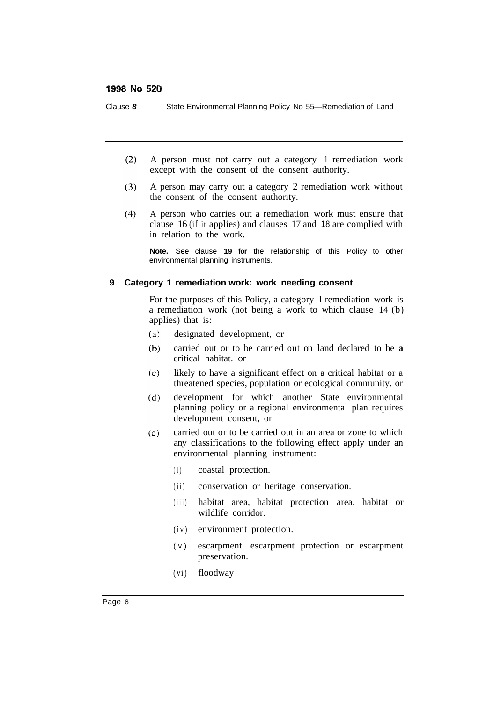Clause *8* State Environmental Planning Policy No 55—Remediation of Land

- $(2)$ A person must not carry out a category 1 remediation work except with the consent of the consent authority.
- $(3)$ A person may carry out a category 2 remediation work without the consent of the consent authority.
- $(4)$ A person who carries out a remediation work must ensure that clause 16 (if it applies) and clauses 17 and 18 are complied with in relation to the work.

**Note.** See clause **19 for** the relationship of this Policy to other environmental planning instruments.

#### **9 Category 1 remediation work: work needing consent**

For the purposes of this Policy, a category 1 remediation work is a remediation work (not being a work to which clause 14 (b) applies) that is:

- $(a)$ designated development, or
- $(b)$ carried out or to be carried out on land declared to be **a**  critical habitat. or
- $(c)$ likely to have a significant effect on a critical habitat or a threatened species, population or ecological community. or
- development for which another State environmental  $(d)$ planning policy or a regional environmental plan requires development consent, or
- carried out or to be carried out in an area or zone to which  $(e)$ any classifications to the following effect apply under an environmental planning instrument:
	- (i) coastal protection.
	- (ii) conservation or heritage conservation.
	- (iii) habitat area, habitat protection area. habitat or wildlife corridor.
	- (iv) environment protection.
	- (v) escarpment. escarpment protection or escarpment preservation.
	- (vi) floodway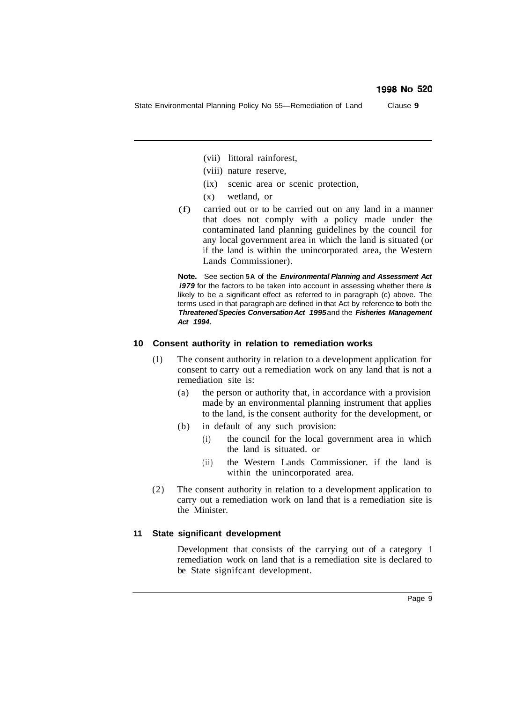State Environmental Planning Policy No 55—Remediation of Land Clause **9** 

- (vii) littoral rainforest,
- (viii) nature reserve,
- (ix) scenic area or scenic protection,
- (x) wetland, or
- (f) carried out or to be carried out on any land in a manner that does not comply with a policy made under the contaminated land planning guidelines by the council for any local government area in which the land is situated (or if the land is within the unincorporated area, the Western Lands Commissioner).

**Note.** See section **5A** of the *Environmental Planning and Assessment Act i979* for the factors to be taken into account in assessing whether there *is*  likely to be a significant effect as referred to in paragraph (c) above. The terms used in that paragraph are defined in that Act by reference **to** both the *Threatened Species Conversation Act 1995* and the *Fisheries Management Act 1994.* 

#### **10 Consent authority in relation to remediation works**

- (1) The consent authority in relation to a development application for consent to carry out a remediation work on any land that is not a remediation site is:
	- (a) the person or authority that, in accordance with a provision made by an environmental planning instrument that applies to the land, is the consent authority for the development, or
	- (b) in default of any such provision:
		- (i) the council for the local government area in which the land is situated. or
		- (ii) the Western Lands Commissioner. if the land is within the unincorporated area.
- (2) The consent authority in relation to a development application to carry out a remediation work on land that is a remediation site is the Minister.

#### **11 State significant development**

Development that consists of the carrying out of a category 1 remediation work on land that is a remediation site is declared to be State signifcant development.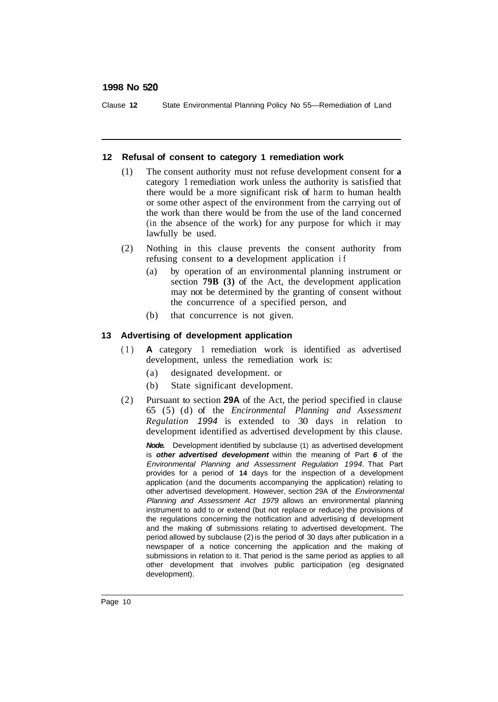Clause **12** State Environmental Planning Policy No 55—Remediation of Land

#### **12 Refusal of consent to category 1 remediation work**

- (1) The consent authority must not refuse development consent for **a**  category 1 remediation work unless the authority is satisfied that there would be a more significant risk of harm to human health or some other aspect of the environment from the carrying out of the work than there would be from the use of the land concerned (in the absence of the work) for any purpose for which it may lawfully be used.
- (2) Nothing in this clause prevents the consent authority from refusing consent to **a** development application if
	- (a) by operation of an environmental planning instrument or section **79B (3)** of the Act, the development application may not be determined by the granting of consent without the concurrence of a specified person, and
	- (b) that concurrence is not given.

#### **13 Advertising of development application**

- (1) **A** category 1 remediation work is identified as advertised development, unless the remediation work is:
	- (a) designated development. or
	- (b) State significant development.
- (2) Pursuant to section **29A** of the Act, the period specified in clause 65 (5) (d) of the *Encironmental Planning and Assessment Regulation 1994* is extended to 30 days in relation to development identified as advertised development by this clause.

*Node.* Development identified by subclause (1) as advertised development is *other advertised development* within the meaning of Part *6* of the *Environmental Planning and Assessment Regulation 1994.* That Part provides for a period of **14** days for the inspection of a development application (and the documents accompanying the application) relating to other advertised development. However, section 29A of the *Environmental Planning and Assessment Act 1979* allows an environmental planning instrument to add to or extend (but not replace or reduce) the provisions of the regulations concerning the notification and advertising of development and the making of submissions relating to advertised development. The period allowed by subclause (2) is the period of 30 days after publication in a newspaper of a notice concerning the application and the making of submissions in relation to it. That period is the same period as applies to all other development that involves public participation (eg designated development).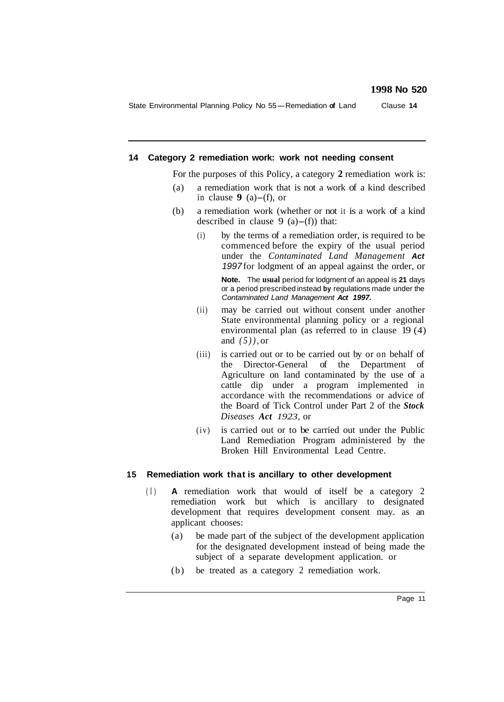State Environmental Planning Policy No 55-Remediation **of** Land Clause **<sup>14</sup>**

#### **14 Category 2 remediation work: work not needing consent**

For the purposes of this Policy, a category **2** remediation work is:

- (a) a remediation work that is not a work of a kind described in clause  $9(a)$ -(f), or
- (b) a remediation work (whether or not it is a work of a kind described in clause 9  $(a)$ -(f) that:
	- (i) by the terms of a remediation order, is required to be commenced before the expiry of the usual period under the *Contaminated Land Management Act 1997* for lodgment of an appeal against the order, or

**Note.** The **usual** period for lodgment of an appeal is **21** days or a period prescribed instead **by** regulations made under the *Contaminated Land Management Act 1997.* 

- (ii) may be carried out without consent under another State environmental planning poIicy or a regional environmental plan (as referred to in clause 19 (4) and *(5)),* or
- (iii) is carried out or to be carried out by or on behalf of the Director-General of the Department of Agriculture on land contaminated by the use of a cattle dip under a program implemented in accordance with the recommendations or advice of the Board of Tick Control under Part 2 of the *Stock Diseases Act 1923,* or
- (iv) is carried out or to be carried out under the Public Land Remediation Program administered by the Broken Hill Environmental Lead Centre.

#### **15 Remediation work that is ancillary to other development**

- (I) **A** remediation work that would of itself be a category 2 remediation work but which is ancillary to designated development that requires development consent may. as an applicant chooses:
	- (a) be made part of the subject of the development application for the designated development instead of being made the subject of a separate development application. or
	- (b) be treated as a category 2 remediation work.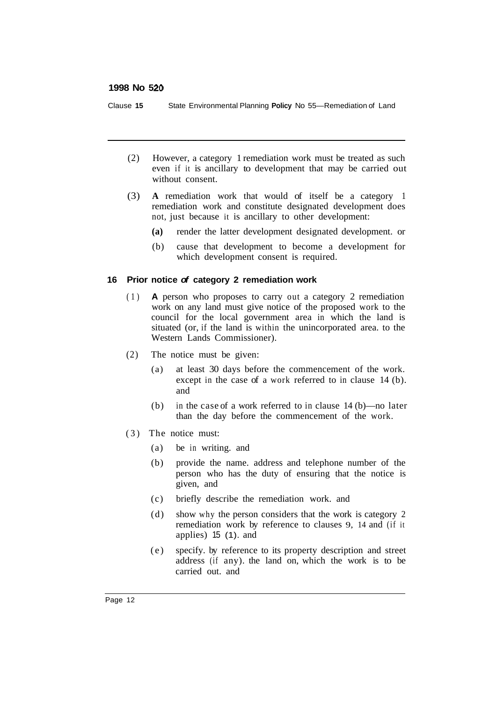Clause **15** State Environmental Planning **Policy** No 55—Remediation of Land

- (2) However, a category 1 remediation work must be treated as such even if it is ancillary to development that may be carried out without consent.
- (3) **A** remediation work that would of itself be a category 1 remediation work and constitute designated development does not, just because it is ancillary to other development:
	- **(a)** render the latter development designated development. or
	- (b) cause that development to become a development for which development consent is required.

#### **16 Prior notice** *of* **category 2 remediation work**

- (1) **A** person who proposes to carry out a category 2 remediation work on any land must give notice of the proposed work to the council for the local government area in which the land is situated (or, if the land is within the unincorporated area. to the Western Lands Commissioner).
- (2) The notice must be given:
	- (a) at least 30 days before the commencement of the work. except in the case of a work referred to in clause 14 (b). and
	- (b) in the case of a work referred to in clause 14 (b)—no later than the day before the commencement of the work.
- (3) The notice must:
	- (a) be in writing. and
	- (b) provide the name. address and telephone number of the person who has the duty of ensuring that the notice is given, and
	- (c) briefly describe the remediation work. and
	- (d) show why the person considers that the work is category 2 remediation work by reference to clauses 9, 14 and (if it applies) 15 (1). and
	- (e) specify. by reference to its property description and street address (if any). the land on, which the work is to be carried out. and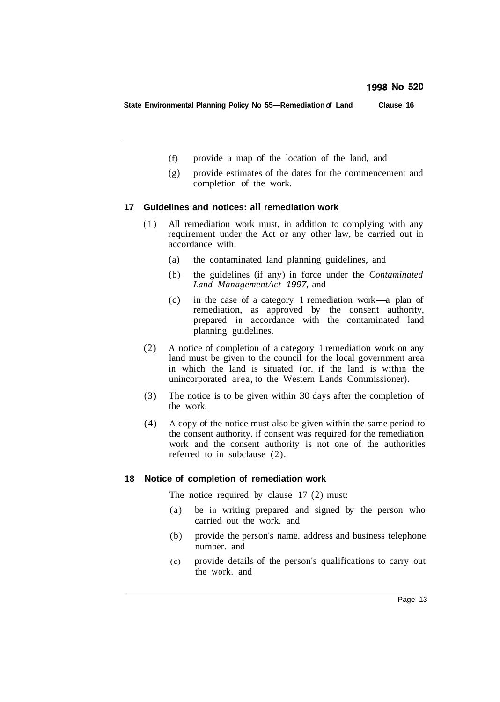**State Environmental Planning Policy No 55—Remediation** *of* **Land Clause 16** 

- (f) provide a map of the location of the land, and
- (g) provide estimates of the dates for the commencement and completion of the work.

#### **17 Guidelines and notices: all remediation work**

- (1) All remediation work must, in addition to complying with any requirement under the Act or any other law, be carried out in accordance with:
	- (a) the contaminated land planning guidelines, and
	- (b) the guidelines (if any) in force under the *Contaminated Land ManagementAct 1997,* and
	- (c) in the case of a category 1 remediation work-a plan of remediation, as approved by the consent authority, prepared in accordance with the contaminated land planning guidelines.
- (2) A notice of completion of a category 1 remediation work on any land must be given to the council for the local government area in which the land is situated (or. if the land is within the unincorporated area, to the Western Lands Commissioner).
- (3) The notice is to be given within 30 days after the completion of the work.
- (4) A copy of the notice must also be given within the same period to the consent authority. if consent was required for the remediation work and the consent authority is not one of the authorities referred to in subclause (2).

#### **18 Notice of completion of remediation work**

The notice required by clause 17 (2) must:

- (a) be in writing prepared and signed by the person who carried out the work. and
- (b) provide the person's name. address and business telephone number. and
- (c) provide details of the person's qualifications to carry out the work. and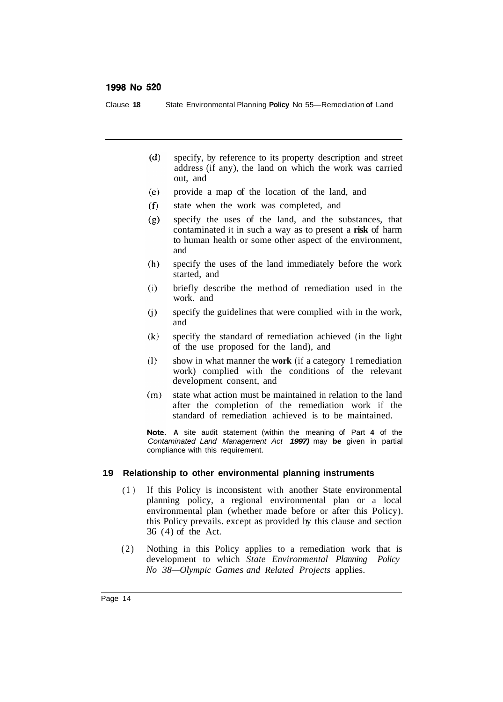Clause **18** State Environmental Planning **Policy** No 55—Remediation **of** Land

- specify, by reference to its property description and street  $(d)$ address (if any), the land on which the work was carried out, and
- $(e)$ provide a map of the location of the land, and
- $(f)$ state when the work was completed, and
- $(g)$ specify the uses of the land, and the substances, that contaminated it in such a way as to present a **risk** of harm to human health or some other aspect of the environment, and
- $(h)$ specify the uses of the land immediately before the work started, and
- $(i)$ briefly describe the method of remediation used in the work. and
- $(i)$ specify the guidelines that were complied with in the work, and
- $(k)$ specify the standard of remediation achieved (in the light of the use proposed for the land), and
- $(1)$ show in what manner the **work** (if a category 1 remediation work) complied with the conditions of the relevant development consent, and
- state what action must be maintained in relation to the land  $(m)$ after the completion of the remediation work if the standard of remediation achieved is to be maintained.

**A** site audit statement (within the meaning of Part **4** of the *Contaminated Land Management Act 1997)* may **be** given in partial compliance with this requirement.

#### **19 Relationship to other environmental planning instruments**

- ( 1 ) If this Policy is inconsistent with another State environmental planning policy, a regional environmental plan or a local environmental plan (whether made before or after this Policy). this Policy prevails. except as provided by this clause and section 36 (4) of the Act.
- (2) Nothing in this Policy applies to a remediation work that is development to which *State Environmental Planning Policy No 38—Olympic Games and Related Projects* applies.